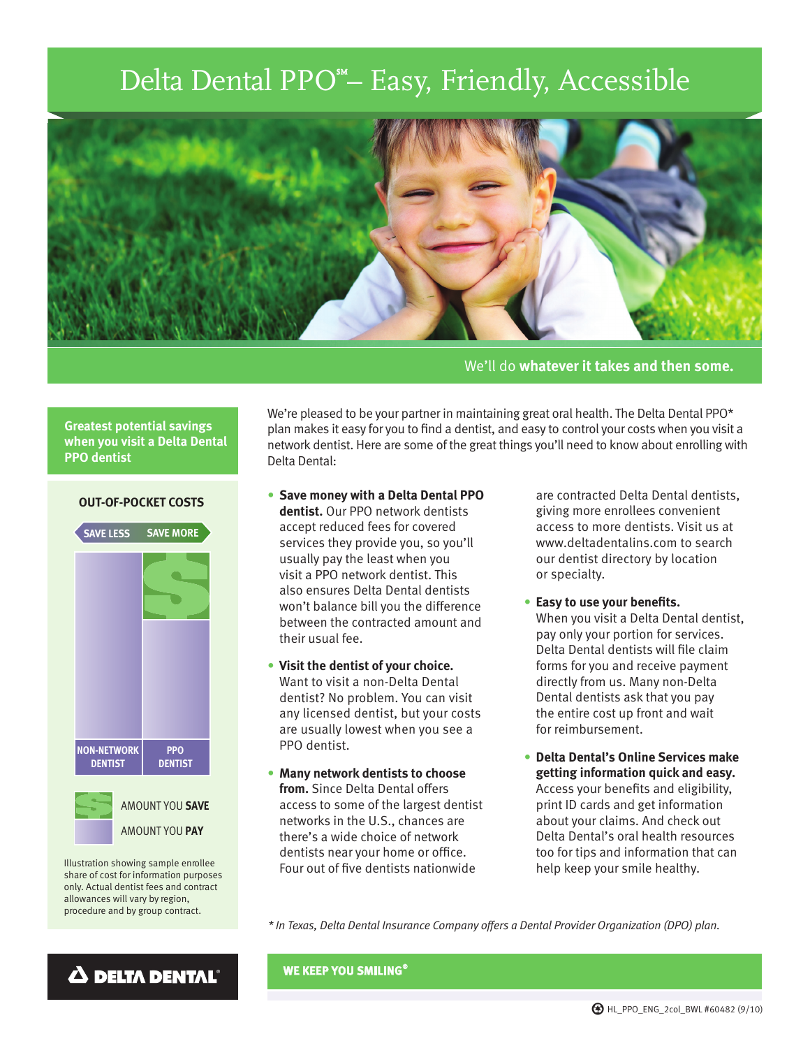## Delta Dental PPO<sup>\*</sup>- Easy, Friendly, Accessible



We'll do **whatever it takes and then some.**

We're pleased to be your partner in maintaining great oral health. The Delta Dental PPO\* plan makes it easy for you to find a dentist, and easy to control your costs when you visit a network dentist. Here are some of the great things you'll need to know about enrolling with

## **Greatest potential savings when you visit a Delta Dental PPO dentist**



Illustration showing sample enrollee share of cost for information purposes only. Actual dentist fees and contract allowances will vary by region, procedure and by group contract.

 $\Delta$  delta dental®

**OUT-OF-POCKET COSTS**

• **Save money with a Delta Dental PPO dentist.** Our PPO network dentists accept reduced fees for covered services they provide you, so you'll usually pay the least when you visit a PPO network dentist. This also ensures Delta Dental dentists won't balance bill you the difference between the contracted amount and their usual fee.

Delta Dental:

- **Visit the dentist of your choice.** Want to visit a non-Delta Dental dentist? No problem. You can visit any licensed dentist, but your costs are usually lowest when you see a PPO dentist.
- **Many network dentists to choose from.** Since Delta Dental offers access to some of the largest dentist networks in the U.S., chances are there's a wide choice of network dentists near your home or office. Four out of five dentists nationwide

are contracted Delta Dental dentists, giving more enrollees convenient access to more dentists. Visit us at www.deltadentalins.com to search our dentist directory by location or specialty.

- **Easy to use your benefits.** When you visit a Delta Dental dentist, pay only your portion for services. Delta Dental dentists will file claim forms for you and receive payment directly from us. Many non-Delta Dental dentists ask that you pay the entire cost up front and wait for reimbursement.
- **Delta Dental's Online Services make getting information quick and easy.** Access your benefits and eligibility, print ID cards and get information about your claims. And check out Delta Dental's oral health resources too for tips and information that can help keep your smile healthy.

*\* In Texas, Delta Dental Insurance Company offers a Dental Provider Organization (DPO) plan.*

**WE KEEP YOU SMILING**®